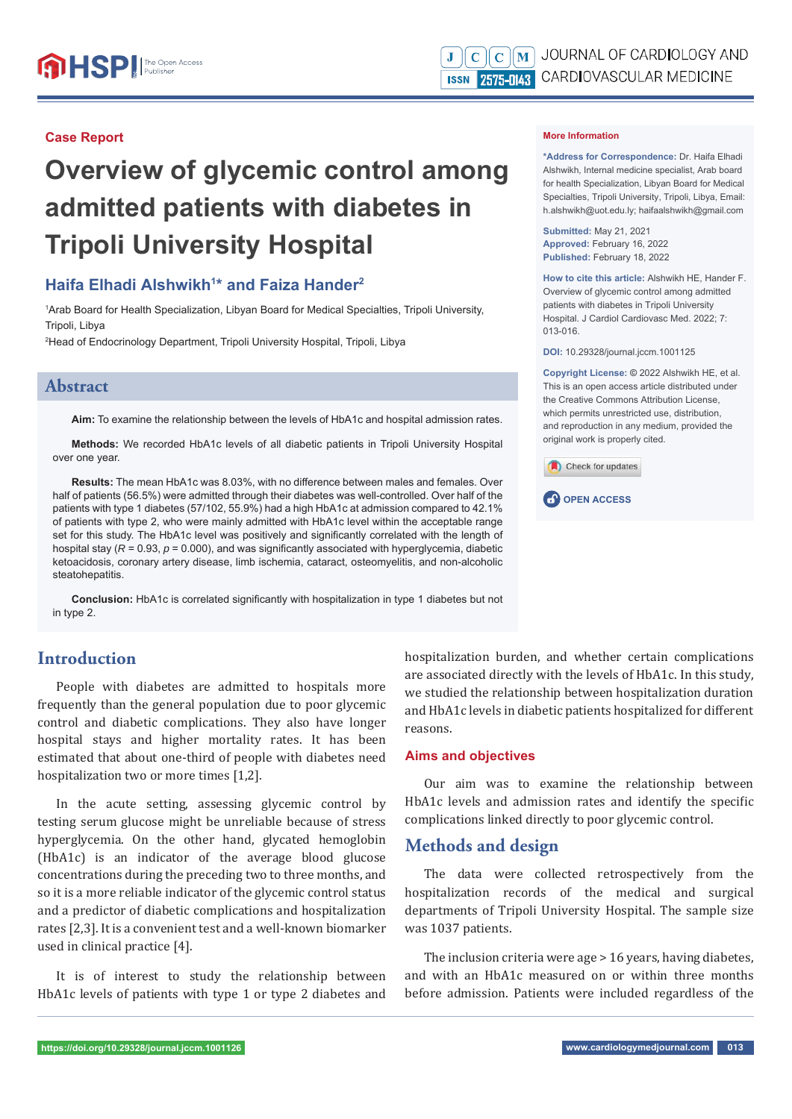#### **Case Report**

# **Overview of glycemic control among admitted patients with diabetes in Tripoli University Hospital**

# **Haifa Elhadi Alshwikh1 \* and Faiza Hander2**

1 Arab Board for Health Specialization, Libyan Board for Medical Specialties, Tripoli University, Tripoli, Libya

2 Head of Endocrinology Department, Tripoli University Hospital, Tripoli, Libya

#### **Abstract**

**Aim:** To examine the relationship between the levels of HbA1c and hospital admission rates.

**Methods:** We recorded HbA1c levels of all diabetic patients in Tripoli University Hospital over one year.

Results: The mean HbA1c was 8.03%, with no difference between males and females. Over half of patients (56.5%) were admitted through their diabetes was well-controlled. Over half of the patients with type 1 diabetes (57/102, 55.9%) had a high HbA1c at admission compared to 42.1% of patients with type 2, who were mainly admitted with HbA1c level within the acceptable range set for this study. The HbA1c level was positively and significantly correlated with the length of hospital stay  $(R = 0.93, p = 0.000)$ , and was significantly associated with hyperglycemia, diabetic ketoacidosis, coronary artery disease, limb ischemia, cataract, osteomyelitis, and non-alcoholic steatohepatitis.

**Conclusion:** HbA1c is correlated significantly with hospitalization in type 1 diabetes but not in type 2.

## **Introduction**

People with diabetes are admitted to hospitals more frequently than the general population due to poor glycemic control and diabetic complications. They also have longer hospital stays and higher mortality rates. It has been estimated that about one-third of people with diabetes need hospitalization two or more times [1,2].

In the acute setting, assessing glycemic control by testing serum glucose might be unreliable because of stress hyperglycemia. On the other hand, glycated hemoglobin (HbA1c) is an indicator of the average blood glucose concentrations during the preceding two to three months, and so it is a more reliable indicator of the glycemic control status and a predictor of diabetic complications and hospitalization rates [2,3]. It is a convenient test and a well-known biomarker used in clinical practice [4].

It is of interest to study the relationship between HbA1c levels of patients with type 1 or type 2 diabetes and

#### **More Information**

**\*Address for Correspondence:** Dr. Haifa Elhadi Alshwikh, Internal medicine specialist, Arab board for health Specialization, Libyan Board for Medical Specialties, Tripoli University, Tripoli, Libya, Email: h.alshwikh@uot.edu.ly; haifaalshwikh@gmail.com

**Submitted:** May 21, 2021 **Approved:** February 16, 2022 **Published:** February 18, 2022

**How to cite this article:** Alshwikh HE, Hander F. Overview of glycemic control among admitted patients with diabetes in Tripoli University Hospital. J Cardiol Cardiovasc Med. 2022; 7: 013-016.

**DOI:** 10.29328/journal.jccm.1001125

**Copyright License: ©** 2022 Alshwikh HE, et al. This is an open access article distributed under the Creative Commons Attribution License, which permits unrestricted use, distribution, and reproduction in any medium, provided the original work is properly cited.

Check for updates



hospitalization burden, and whether certain complications are associated directly with the levels of HbA1c. In this study, we studied the relationship between hospitalization duration and HbA1c levels in diabetic patients hospitalized for different reasons.

#### **Aims and objectives**

Our aim was to examine the relationship between HbA1c levels and admission rates and identify the specific complications linked directly to poor glycemic control.

## **Methods and design**

The data were collected retrospectively from the hospitalization records of the medical and surgical departments of Tripoli University Hospital. The sample size was 1037 patients.

The inclusion criteria were age > 16 years, having diabetes, and with an HbA1c measured on or within three months before admission. Patients were included regardless of the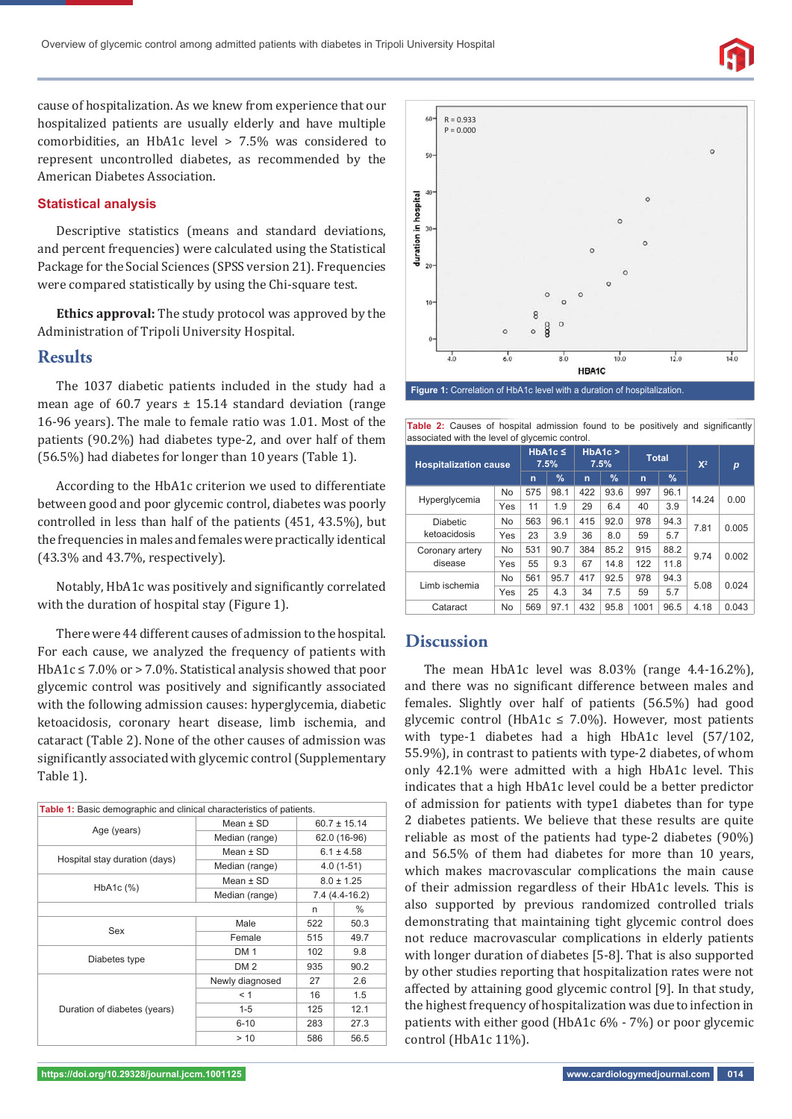cause of hospitalization. As we knew from experience that our hospitalized patients are usually elderly and have multiple comorbidities, an HbA1c level > 7.5% was considered to represent uncontrolled diabetes, as recommended by the American Diabetes Association.

#### **Statistical analysis**

Descriptive statistics (means and standard deviations, and percent frequencies) were calculated using the Statistical Package for the Social Sciences (SPSS version 21). Frequencies were compared statistically by using the Chi-square test.

**Ethics approval:** The study protocol was approved by the Administration of Tripoli University Hospital.

#### **Results**

The 1037 diabetic patients included in the study had a mean age of 60.7 years  $\pm$  15.14 standard deviation (range 16-96 years). The male to female ratio was 1.01. Most of the patients (90.2%) had diabetes type-2, and over half of them (56.5%) had diabetes for longer than 10 years (Table 1).

According to the HbA1c criterion we used to differentiate between good and poor glycemic control, diabetes was poorly controlled in less than half of the patients (451, 43.5%), but the frequencies in males and females were practically identical (43.3% and 43.7%, respectively).

Notably, HbA1c was positively and significantly correlated with the duration of hospital stay (Figure 1).

There were 44 different causes of admission to the hospital. For each cause, we analyzed the frequency of patients with HbA1c ≤ 7.0% or > 7.0%. Statistical analysis showed that poor glycemic control was positively and significantly associated with the following admission causes: hyperglycemia, diabetic ketoacidosis, coronary heart disease, limb ischemia, and cataract (Table 2). None of the other causes of admission was significantly associated with glycemic control (Supplementary Table 1).

| Table 1: Basic demographic and clinical characteristics of patients. |                 |                  |      |  |
|----------------------------------------------------------------------|-----------------|------------------|------|--|
|                                                                      | Mean $\pm$ SD   | $60.7 \pm 15.14$ |      |  |
| Age (years)                                                          | Median (range)  | 62.0 (16-96)     |      |  |
|                                                                      | $Mean + SD$     | $6.1 \pm 4.58$   |      |  |
| Hospital stay duration (days)                                        | Median (range)  | $4.0(1-51)$      |      |  |
|                                                                      | Mean $\pm$ SD   | $8.0 \pm 1.25$   |      |  |
| HbA1c (%)                                                            | Median (range)  | 7.4 (4.4-16.2)   |      |  |
|                                                                      | n               | $\%$             |      |  |
| Sex                                                                  | Male            | 522              | 50.3 |  |
|                                                                      | Female          | 515              | 49.7 |  |
|                                                                      | <b>DM1</b>      | 102              | 9.8  |  |
| Diabetes type                                                        | DM <sub>2</sub> | 935              | 90.2 |  |
| Duration of diabetes (years)                                         | Newly diagnosed | 27               | 2.6  |  |
|                                                                      | < 1             | 16               | 1.5  |  |
|                                                                      | $1 - 5$         | 125              | 12.1 |  |
|                                                                      | $6 - 10$        | 283              | 27.3 |  |
|                                                                      | > 10            | 586              | 56.5 |  |



**Table 2:** Causes of hospital admission found to be positively and significantly

| associated with the level of glycemic control. |           |                      |      |               |      |              |      |       |                  |  |  |
|------------------------------------------------|-----------|----------------------|------|---------------|------|--------------|------|-------|------------------|--|--|
| <b>Hospitalization cause</b>                   |           | $HbA1c \leq$<br>7.5% |      | HbA1c<br>7.5% |      | <b>Total</b> |      | $X^2$ | $\boldsymbol{p}$ |  |  |
|                                                |           | n                    | $\%$ | n             | $\%$ | $\mathbf n$  | $\%$ |       |                  |  |  |
| Hyperglycemia                                  | <b>No</b> | 575                  | 98.1 | 422           | 93.6 | 997          | 96.1 | 14.24 | 0.00             |  |  |
|                                                | Yes       | 11                   | 1.9  | 29            | 6.4  | 40           | 3.9  |       |                  |  |  |
| <b>Diabetic</b><br>ketoacidosis                | <b>No</b> | 563                  | 96.1 | 415           | 92.0 | 978          | 94.3 | 7.81  | 0.005            |  |  |
|                                                | Yes       | 23                   | 3.9  | 36            | 8.0  | 59           | 5.7  |       |                  |  |  |
| Coronary artery<br>disease                     | <b>No</b> | 531                  | 90.7 | 384           | 85.2 | 915          | 88.2 | 9.74  | 0.002            |  |  |
|                                                | Yes       | 55                   | 9.3  | 67            | 14.8 | 122          | 11.8 |       |                  |  |  |
| Limb ischemia                                  | <b>No</b> | 561                  | 95.7 | 417           | 92.5 | 978          | 94.3 | 5.08  | 0.024            |  |  |
|                                                | Yes       | 25                   | 4.3  | 34            | 7.5  | 59           | 5.7  |       |                  |  |  |
| Cataract                                       | <b>No</b> | 569                  | 97.1 | 432           | 95.8 | 1001         | 96.5 | 4.18  | 0.043            |  |  |

# **Discussion**

The mean HbA1c level was 8.03% (range 4.4-16.2%), and there was no significant difference between males and females. Slightly over half of patients (56.5%) had good glycemic control (HbA1c  $\leq$  7.0%). However, most patients with type-1 diabetes had a high HbA1c level (57/102, 55.9%), in contrast to patients with type-2 diabetes, of whom only 42.1% were admitted with a high HbA1c level. This indicates that a high HbA1c level could be a better predictor of admission for patients with type1 diabetes than for type 2 diabetes patients. We believe that these results are quite reliable as most of the patients had type-2 diabetes (90%) and 56.5% of them had diabetes for more than 10 years, which makes macrovascular complications the main cause of their admission regardless of their HbA1c levels. This is also supported by previous randomized controlled trials demonstrating that maintaining tight glycemic control does not reduce macrovascular complications in elderly patients with longer duration of diabetes [5-8]. That is also supported by other studies reporting that hospitalization rates were not affected by attaining good glycemic control [9]. In that study, the highest frequency of hospitalization was due to infection in patients with either good (HbA1c 6% - 7%) or poor glycemic control (HbA1c 11%).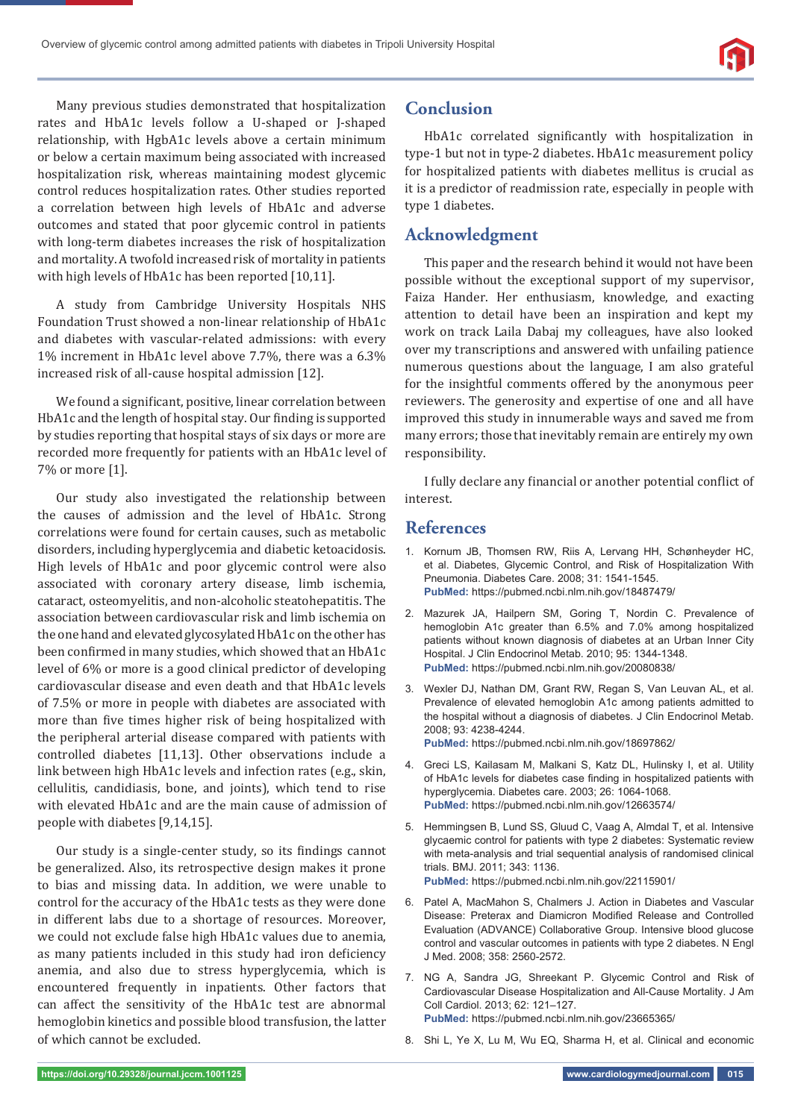Many previous studies demonstrated that hospitalization rates and HbA1c levels follow a U-shaped or J-shaped relationship, with HgbA1c levels above a certain minimum or below a certain maximum being associated with increased hospitalization risk, whereas maintaining modest glycemic control reduces hospitalization rates. Other studies reported a correlation between high levels of HbA1c and adverse outcomes and stated that poor glycemic control in patients with long-term diabetes increases the risk of hospitalization and mortality. A twofold increased risk of mortality in patients with high levels of HbA1c has been reported [10,11].

A study from Cambridge University Hospitals NHS Foundation Trust showed a non-linear relationship of HbA1c and diabetes with vascular-related admissions: with every 1% increment in HbA1c level above 7.7%, there was a 6.3% increased risk of all-cause hospital admission [12].

We found a significant, positive, linear correlation between HbA1c and the length of hospital stay. Our finding is supported by studies reporting that hospital stays of six days or more are recorded more frequently for patients with an HbA1c level of 7% or more [1].

Our study also investigated the relationship between the causes of admission and the level of HbA1c. Strong correlations were found for certain causes, such as metabolic disorders, including hyperglycemia and diabetic ketoacidosis. High levels of HbA1c and poor glycemic control were also associated with coronary artery disease, limb ischemia, cataract, osteomyelitis, and non-alcoholic steatohepatitis. The association between cardiovascular risk and limb ischemia on the one hand and elevated glycosylated HbA1c on the other has been confirmed in many studies, which showed that an HbA1c level of 6% or more is a good clinical predictor of developing cardiovascular disease and even death and that HbA1c levels of 7.5% or more in people with diabetes are associated with more than five times higher risk of being hospitalized with the peripheral arterial disease compared with patients with controlled diabetes [11,13]. Other observations include a link between high HbA1c levels and infection rates (e.g., skin, cellulitis, candidiasis, bone, and joints), which tend to rise with elevated HbA1c and are the main cause of admission of people with diabetes [9,14,15].

Our study is a single-center study, so its findings cannot be generalized. Also, its retrospective design makes it prone to bias and missing data. In addition, we were unable to control for the accuracy of the HbA1c tests as they were done in different labs due to a shortage of resources. Moreover, we could not exclude false high HbA1c values due to anemia, as many patients included in this study had iron deficiency anemia, and also due to stress hyperglycemia, which is encountered frequently in inpatients. Other factors that can affect the sensitivity of the HbA1c test are abnormal hemoglobin kinetics and possible blood transfusion, the latter of which cannot be excluded.

# **Conclusion**

HbA1c correlated significantly with hospitalization in type-1 but not in type-2 diabetes. HbA1c measurement policy for hospitalized patients with diabetes mellitus is crucial as it is a predictor of readmission rate, especially in people with type 1 diabetes.

# **Acknowledgment**

This paper and the research behind it would not have been possible without the exceptional support of my supervisor, Faiza Hander. Her enthusiasm, knowledge, and exacting attention to detail have been an inspiration and kept my work on track Laila Dabaj my colleagues, have also looked over my transcriptions and answered with unfailing patience numerous questions about the language, I am also grateful for the insightful comments offered by the anonymous peer reviewers. The generosity and expertise of one and all have improved this study in innumerable ways and saved me from many errors; those that inevitably remain are entirely my own responsibility.

I fully declare any financial or another potential conflict of interest.

## **References**

- 1. Kornum JB, Thomsen RW, Riis A, Lervang HH, Schønheyder HC, et al. Diabetes, Glycemic Control, and Risk of Hospitalization With Pneumonia. Diabetes Care. 2008; 31: 1541-1545. **PubMed:** https://pubmed.ncbi.nlm.nih.gov/18487479/
- 2. Mazurek JA, Hailpern SM, Goring T, Nordin C. Prevalence of hemoglobin A1c greater than 6.5% and 7.0% among hospitalized patients without known diagnosis of diabetes at an Urban Inner City Hospital. J Clin Endocrinol Metab. 2010; 95: 1344-1348. **PubMed:** https://pubmed.ncbi.nlm.nih.gov/20080838/
- 3. Wexler DJ, Nathan DM, Grant RW, Regan S, Van Leuvan AL, et al. Prevalence of elevated hemoglobin A1c among patients admitted to the hospital without a diagnosis of diabetes. J Clin Endocrinol Metab. 2008; 93: 4238-4244. **PubMed:** https://pubmed.ncbi.nlm.nih.gov/18697862/
- 4. Greci LS, Kailasam M, Malkani S, Katz DL, Hulinsky I, et al. Utility of HbA1c levels for diabetes case finding in hospitalized patients with hyperglycemia. Diabetes care. 2003; 26: 1064-1068. **PubMed:** https://pubmed.ncbi.nlm.nih.gov/12663574/
- 5. Hemmingsen B, Lund SS, Gluud C, Vaag A, Almdal T, et al. Intensive glycaemic control for patients with type 2 diabetes: Systematic review with meta-analysis and trial sequential analysis of randomised clinical trials. BMJ. 2011; 343: 1136. **PubMed:** https://pubmed.ncbi.nlm.nih.gov/22115901/
- 6. Patel A, MacMahon S, Chalmers J. Action in Diabetes and Vascular Disease: Preterax and Diamicron Modified Release and Controlled Evaluation (ADVANCE) Collaborative Group. Intensive blood glucose control and vascular outcomes in patients with type 2 diabetes. N Engl J Med. 2008; 358: 2560-2572.
- 7. NG A, Sandra JG, Shreekant P. Glycemic Control and Risk of Cardiovascular Disease Hospitalization and All-Cause Mortality. J Am Coll Cardiol. 2013; 62: 121–127. **PubMed:** https://pubmed.ncbi.nlm.nih.gov/23665365/
- 8. Shi L, Ye X, Lu M, Wu EQ, Sharma H, et al. Clinical and economic